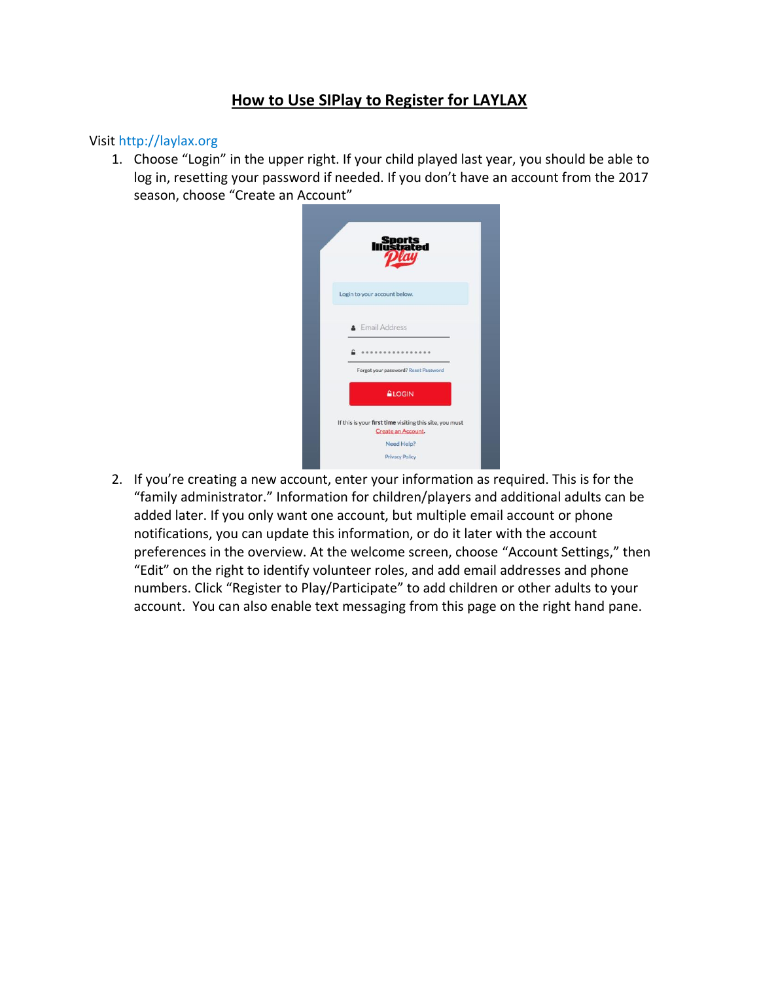## **How to Use SIPlay to Register for LAYLAX**

#### Visit http://laylax.org

1. Choose "Login" in the upper right. If your child played last year, you should be able to log in, resetting your password if needed. If you don't have an account from the 2017 season, choose "Create an Account"

| <b>Sports<br/>Instrated</b>                                                   |
|-------------------------------------------------------------------------------|
| Login to your account below.                                                  |
| <b>A</b> Email Address                                                        |
| Forgot your password? Reset Password                                          |
| <b>GLOGIN</b>                                                                 |
| If this is your first time visiting this site, you must<br>Create an Account. |
| Need Help?<br><b>Privacy Policy</b>                                           |

2. If you're creating a new account, enter your information as required. This is for the "family administrator." Information for children/players and additional adults can be added later. If you only want one account, but multiple email account or phone notifications, you can update this information, or do it later with the account preferences in the overview. At the welcome screen, choose "Account Settings," then "Edit" on the right to identify volunteer roles, and add email addresses and phone numbers. Click "Register to Play/Participate" to add children or other adults to your account. You can also enable text messaging from this page on the right hand pane.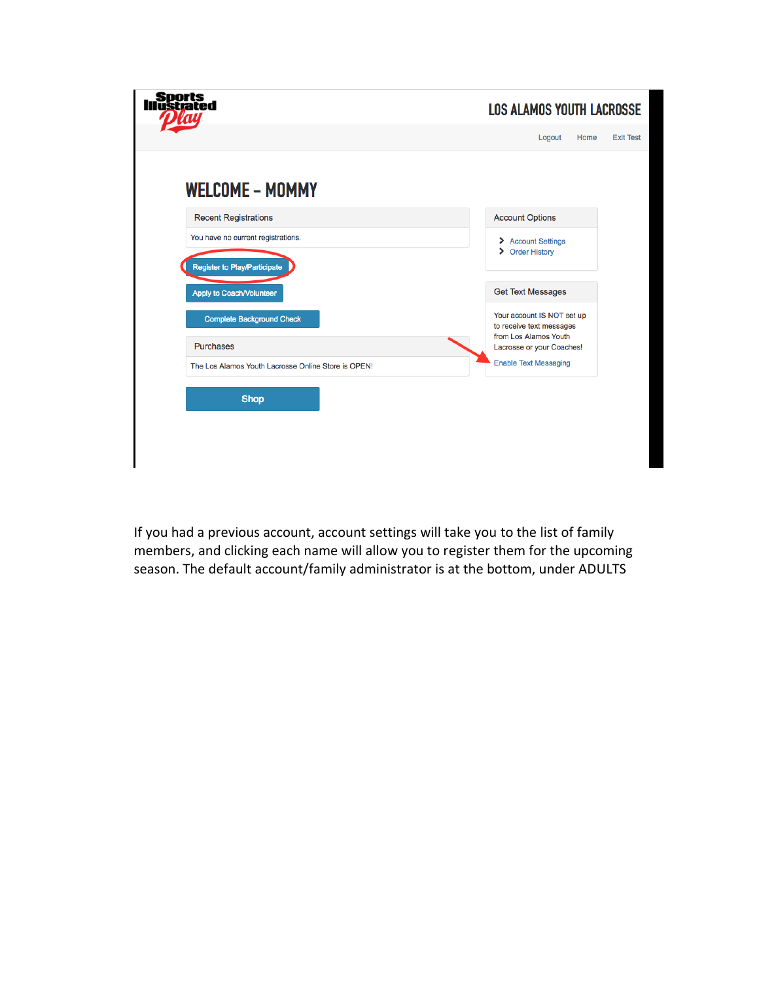| <b>Sports</b><br>lustrated                          | <b>LOS ALAMOS YOUTH LACROSSE</b>                       |
|-----------------------------------------------------|--------------------------------------------------------|
|                                                     | <b>Exit Test</b><br>Logout<br>Home                     |
| <b>WELCOME - MOMMY</b>                              |                                                        |
| <b>Recent Registrations</b>                         | <b>Account Options</b>                                 |
| You have no current registrations.                  | > Account Settings                                     |
| Register to Play/Participate                        | > Order History                                        |
| Apply to Coach/Volunteer                            | <b>Get Text Messages</b>                               |
| <b>Complete Background Check</b>                    | Your account IS NOT set up<br>to receive text messages |
| <b>Purchases</b>                                    | from Los Alamos Youth<br>Lacrosse or your Coaches!     |
| The Los Alamos Youth Lacrosse Online Store is OPEN! | <b>Enable Text Messaging</b>                           |
| <b>Shop</b>                                         |                                                        |

If you had a previous account, account settings will take you to the list of family members, and clicking each name will allow you to register them for the upcoming season. The default account/family administrator is at the bottom, under ADULTS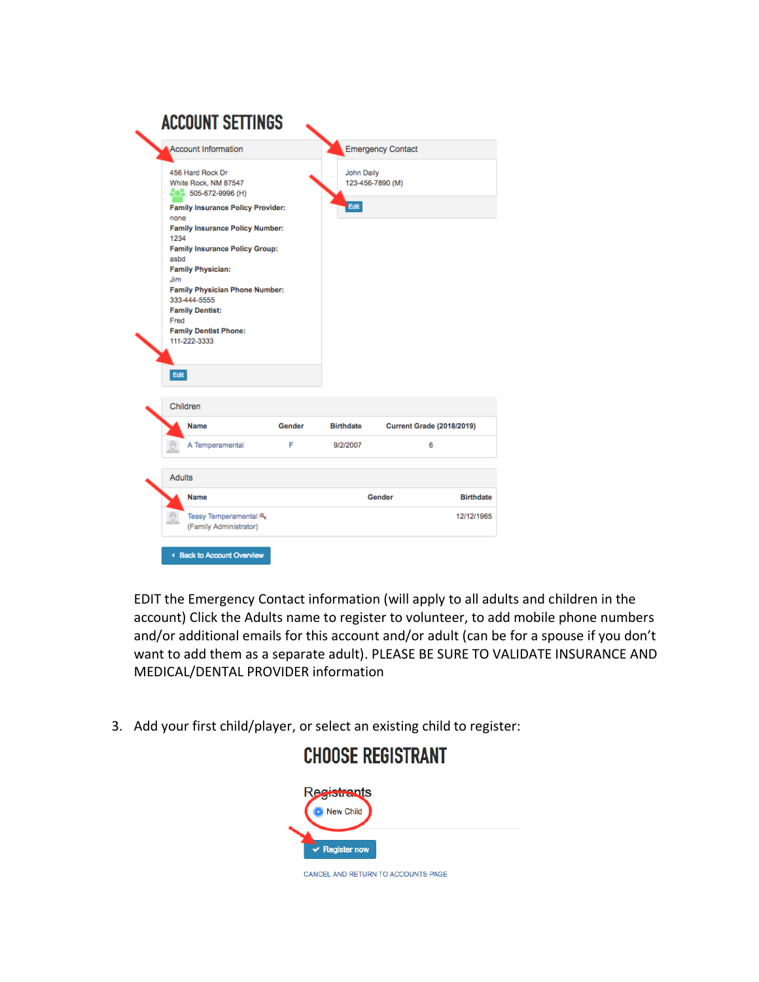|                                             | <b>Account Information</b>                                                                                                                                                                                                                                                                                                                                       |        |                           | <b>Emergency Contact</b>         |                  |
|---------------------------------------------|------------------------------------------------------------------------------------------------------------------------------------------------------------------------------------------------------------------------------------------------------------------------------------------------------------------------------------------------------------------|--------|---------------------------|----------------------------------|------------------|
| none<br>1234<br>asbd<br>Jim<br>Fred<br>Edit | 456 Hard Rock Dr<br>White Rock, NM 87547<br>$202$ 505-672-9996 (H)<br><b>Family Insurance Policy Provider:</b><br><b>Family Insurance Policy Number:</b><br><b>Family Insurance Policy Group:</b><br><b>Family Physician:</b><br><b>Family Physician Phone Number:</b><br>333-444-5555<br><b>Family Dentist:</b><br><b>Family Dentist Phone:</b><br>111-222-3333 |        | <b>John Daily</b><br>Edit | 123-456-7890 (M)                 |                  |
| Children                                    |                                                                                                                                                                                                                                                                                                                                                                  |        |                           |                                  |                  |
|                                             | <b>Name</b>                                                                                                                                                                                                                                                                                                                                                      | Gender | <b>Birthdate</b>          | <b>Current Grade (2018/2019)</b> |                  |
|                                             | A Temperamental                                                                                                                                                                                                                                                                                                                                                  | F      | 9/2/2007                  | 6                                |                  |
| <b>Adults</b>                               |                                                                                                                                                                                                                                                                                                                                                                  |        |                           |                                  |                  |
|                                             | <b>Name</b>                                                                                                                                                                                                                                                                                                                                                      |        |                           | Gender                           | <b>Birthdate</b> |
|                                             | Tessy Temperamental &<br>(Family Administrator)                                                                                                                                                                                                                                                                                                                  |        |                           |                                  | 12/12/1965       |
|                                             |                                                                                                                                                                                                                                                                                                                                                                  |        |                           |                                  |                  |

EDIT the Emergency Contact information (will apply to all adults and children in the account) Click the Adults name to register to volunteer, to add mobile phone numbers and/or additional emails for this account and/or adult (can be for a spouse if you don't want to add them as a separate adult). PLEASE BE SURE TO VALIDATE INSURANCE AND MEDICAL/DENTAL PROVIDER information

3. Add your first child/player, or select an existing child to register:

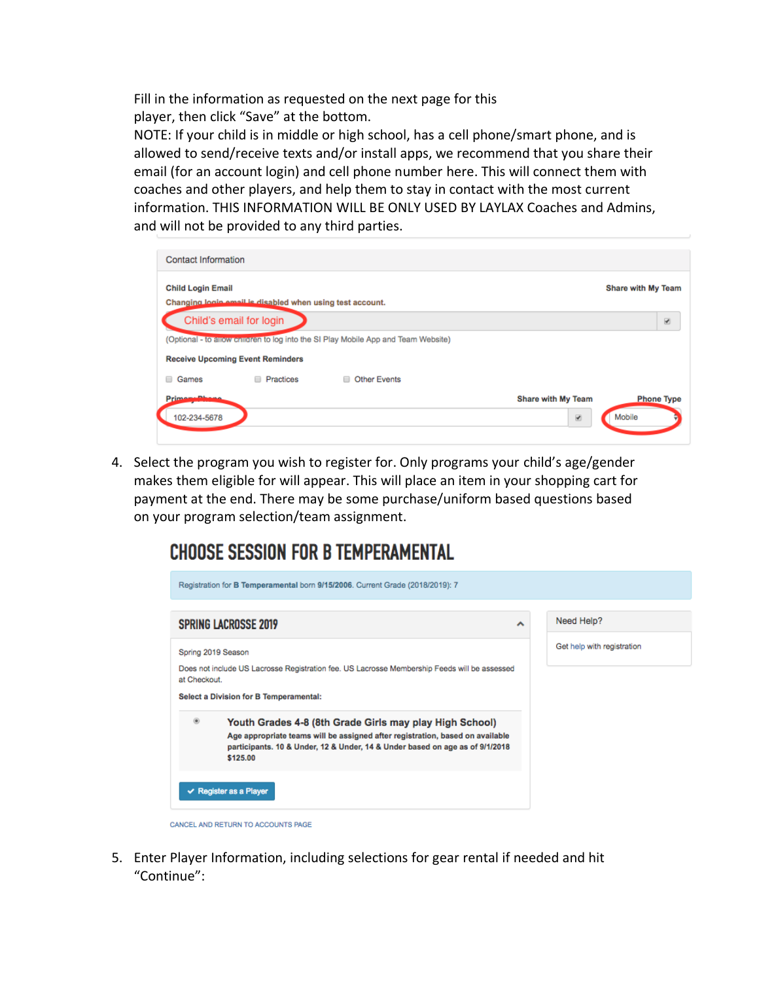Fill in the information as requested on the next page for this player, then click "Save" at the bottom.

NOTE: If your child is in middle or high school, has a cell phone/smart phone, and is allowed to send/receive texts and/or install apps, we recommend that you share their email (for an account login) and cell phone number here. This will connect them with coaches and other players, and help them to stay in contact with the most current information. THIS INFORMATION WILL BE ONLY USED BY LAYLAX Coaches and Admins, and will not be provided to any third parties.

| Contact Information                     |                                                          |                                                                                    |                                                      |                             |
|-----------------------------------------|----------------------------------------------------------|------------------------------------------------------------------------------------|------------------------------------------------------|-----------------------------|
| <b>Child Login Email</b>                | Changing look amail is disabled when using test account. |                                                                                    |                                                      | Share with My Team          |
| Child's email for login                 |                                                          |                                                                                    |                                                      | $\overline{\mathcal{L}}$    |
|                                         |                                                          | (Optional - to allow children to log into the SI Play Mobile App and Team Website) |                                                      |                             |
| <b>Receive Upcoming Event Reminders</b> |                                                          |                                                                                    |                                                      |                             |
| Games                                   | <b>Practices</b>                                         | □ Other Events                                                                     |                                                      |                             |
| Primama Dhama<br>102-234-5678           |                                                          |                                                                                    | <b>Share with My Team</b><br>$\overline{\mathbf{r}}$ | <b>Phone Type</b><br>Mobile |

4. Select the program you wish to register for. Only programs your child's age/gender makes them eligible for will appear. This will place an item in your shopping cart for payment at the end. There may be some purchase/uniform based questions based on your program selection/team assignment.

## **CHOOSE SESSION FOR B TEMPERAMENTAL**

|               | <b>SPRING LACROSSE 2019</b>                                                                                                                                                                                                          | ᄉ | Need Help?                 |
|---------------|--------------------------------------------------------------------------------------------------------------------------------------------------------------------------------------------------------------------------------------|---|----------------------------|
|               | Spring 2019 Season                                                                                                                                                                                                                   |   | Get help with registration |
| at Checkout.  | Does not include US Lacrosse Registration fee. US Lacrosse Membership Feeds will be assessed                                                                                                                                         |   |                            |
|               | <b>Select a Division for B Temperamental:</b>                                                                                                                                                                                        |   |                            |
| $\circledast$ | Youth Grades 4-8 (8th Grade Girls may play High School)<br>Age appropriate teams will be assigned after registration, based on available<br>participants. 10 & Under, 12 & Under, 14 & Under based on age as of 9/1/2018<br>\$125.00 |   |                            |

5. Enter Player Information, including selections for gear rental if needed and hit "Continue":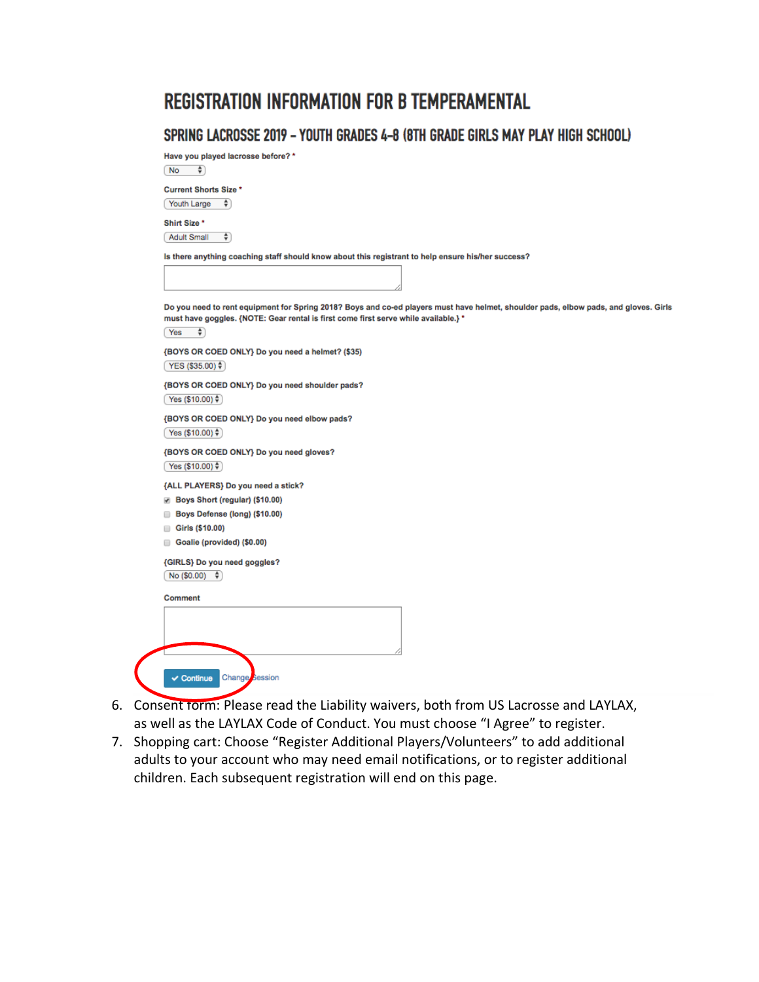# **REGISTRATION INFORMATION FOR B TEMPERAMENTAL**

### SPRING LACROSSE 2019 - YOUTH GRADES 4-8 (8TH GRADE GIRLS MAY PLAY HIGH SCHOOL)

Have you played lacrosse before? \*  $( No - \frac{4}{9})$ 

**Current Shorts Size \*** Youth Large  $\frac{1}{2}$ 

Shirt Size \* Adult Small  $\Rightarrow$ 

Is there anything coaching staff should know about this registrant to help ensure his/her success?

Do you need to rent equipment for Spring 2018? Boys and co-ed players must have helmet, shoulder pads, elbow pads, and gloves. Girls must have goggles. {NOTE: Gear rental is first come first serve while available.} \*  $(Yes \t\t\hat{\tau})$ 

{BOYS OR COED ONLY} Do you need a helmet? (\$35)  $YES($ \$35.00) $\frac{4}{7}$ 

{BOYS OR COED ONLY} Do you need shoulder pads?  $Yes($10.00)$ 

{BOYS OR COED ONLY} Do you need elbow pads?  $Yes ( $10.00)$   $\frac{4}{7}$ 

{BOYS OR COED ONLY} Do you need gloves?  $Yes ($10.00)$ 

{ALL PLAYERS} Do you need a stick?

- Boys Short (regular) (\$10.00)
- Boys Defense (long) (\$10.00)
- Girls (\$10.00)
- Goalie (provided) (\$0.00)

{GIRLS} Do you need goggles?  $No ($0.00) $$ 

| Continue Change Session |  |
|-------------------------|--|

- 6. Consent form: Please read the Liability waivers, both from US Lacrosse and LAYLAX, as well as the LAYLAX Code of Conduct. You must choose "I Agree" to register.
- 7. Shopping cart: Choose "Register Additional Players/Volunteers" to add additional adults to your account who may need email notifications, or to register additional children. Each subsequent registration will end on this page.